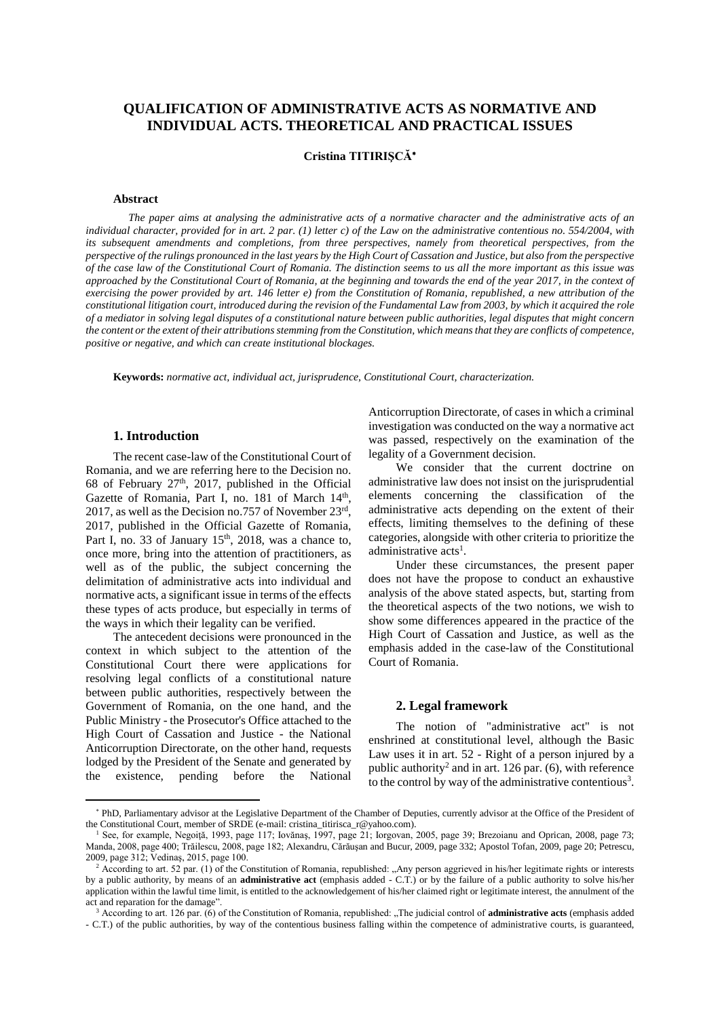# **QUALIFICATION OF ADMINISTRATIVE ACTS AS NORMATIVE AND INDIVIDUAL ACTS. THEORETICAL AND PRACTICAL ISSUES**

**Cristina TITIRIŞCĂ**

#### **Abstract**

The paper aims at analysing the administrative acts of a normative character and the administrative acts of an individual character, provided for in art. 2 par. (1) letter c) of the Law on the administrative contentious no. 554/2004, with *its subsequent amendments and completions, from three perspectives, namely from theoretical perspectives, from the* perspective of the rulings pronounced in the last years by the High Court of Cassation and Justice, but also from the perspective of the case law of the Constitutional Court of Romania. The distinction seems to us all the more important as this issue was approached by the Constitutional Court of Romania, at the beginning and towards the end of the year 2017, in the context of exercising the power provided by art. 146 letter e) from the Constitution of Romania, republished, a new attribution of the constitutional litigation court, introduced during the revision of the Fundamental Law from 2003, by which it acquired the role of a mediator in solving legal disputes of a constitutional nature between public authorities, legal disputes that might concern the content or the extent of their attributions stemming from the Constitution, which means that they are conflicts of competence, *positive or negative, and which can create institutional blockages.*

**Keywords:** *normative act, individual act, jurisprudence, Constitutional Court, characterization.*

### **1. Introduction**

 $\overline{a}$ 

The recent case-law of the Constitutional Court of Romania, and we are referring here to the Decision no. 68 of February  $27<sup>th</sup>$ , 2017, published in the Official Gazette of Romania, Part I, no. 181 of March 14<sup>th</sup>, 2017, as well as the Decision no.757 of November 23rd, 2017, published in the Official Gazette of Romania, Part I, no. 33 of January 15<sup>th</sup>, 2018, was a chance to, once more, bring into the attention of practitioners, as well as of the public, the subject concerning the delimitation of administrative acts into individual and normative acts, a significant issue in terms of the effects these types of acts produce, but especially in terms of the ways in which their legality can be verified.

The antecedent decisions were pronounced in the context in which subject to the attention of the Constitutional Court there were applications for resolving legal conflicts of a constitutional nature between public authorities, respectively between the Government of Romania, on the one hand, and the Public Ministry - the Prosecutor's Office attached to the High Court of Cassation and Justice - the National Anticorruption Directorate, on the other hand, requests lodged by the President of the Senate and generated by the existence, pending before the National

Anticorruption Directorate, of casesin which a criminal investigation was conducted on the way a normative act was passed, respectively on the examination of the legality of a Government decision.

We consider that the current doctrine on administrative law does not insist on the jurisprudential elements concerning the classification of the administrative acts depending on the extent of their effects, limiting themselves to the defining of these categories, alongside with other criteria to prioritize the administrative acts<sup>1</sup>.

Under these circumstances, the present paper does not have the propose to conduct an exhaustive analysis of the above stated aspects, but, starting from the theoretical aspects of the two notions, we wish to show some differences appeared in the practice of the High Court of Cassation and Justice, as well as the emphasis added in the case-law of the Constitutional Court of Romania.

#### **2. Legal framework**

The notion of "administrative act" is not enshrined at constitutional level, although the Basic Law uses it in art. 52 - Right of a person injured by a public authority<sup>2</sup> and in art. 126 par. (6), with reference to the control by way of the administrative contentious<sup>3</sup>.

<sup>\*</sup> PhD, Parliamentary advisor at the Legislative Department of the Chamber of Deputies, currently advisor at the Office of the President of the Constitutional Court, member of SRDE (e-mail: cristina\_titirisca\_r@yahoo.com).

See, for example, Negoiță, 1993, page 117; Iovănaș, 1997, page 21; Iorgovan, 2005, page 39; Brezoianu and Oprican, 2008, page 73; Manda, 2008, page 400; Trăilescu, 2008, page 182; Alexandru, Cărăuşan and Bucur, 2009, page 332; Apostol Tofan, 2009, page 20; Petrescu, 2009, page 312; Vedinaş, 2015, page 100.

<sup>&</sup>lt;sup>2</sup> According to art. 52 par. (1) of the Constitution of Romania, republished: "Any person aggrieved in his/her legitimate rights or interests by a public authority, by means of an **administrative act** (emphasis added - C.T.) or by the failure of a public authority to solve his/her application within the lawful time limit, is entitled to the acknowledgement of his/her claimed right or legitimate interest, the annulment of the act and reparation for the damage".

<sup>&</sup>lt;sup>3</sup> According to art. 126 par. (6) of the Constitution of Romania, republished: "The judicial control of **administrative acts** (emphasis added - C.T.) of the public authorities, by way of the contentious business falling within the competence of administrative courts, is guaranteed,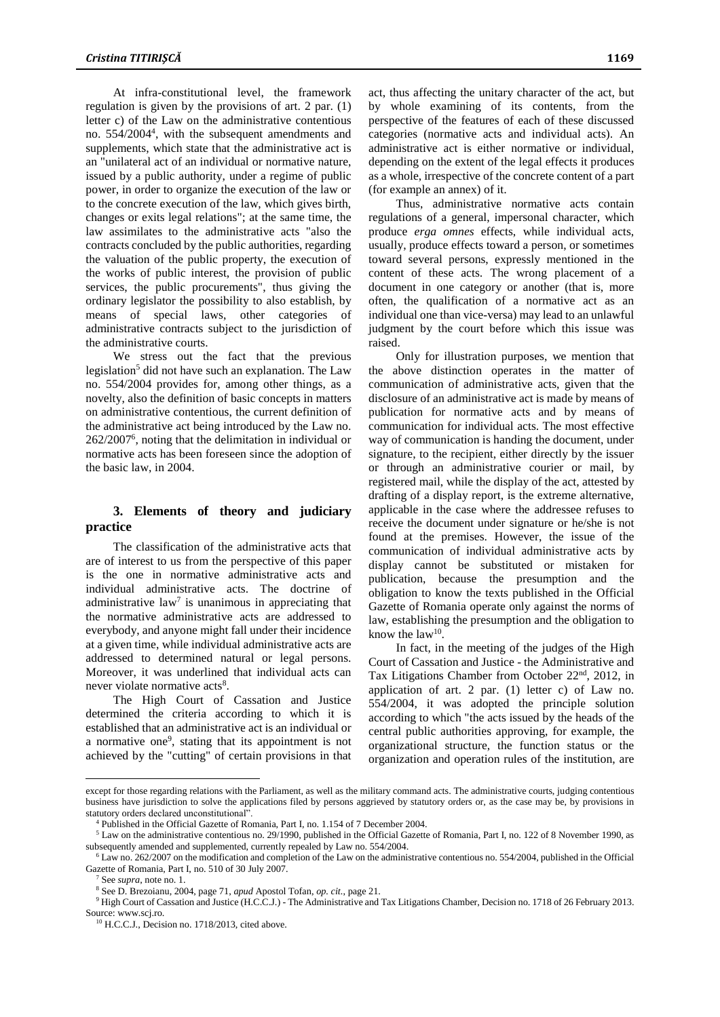At infra-constitutional level, the framework regulation is given by the provisions of art. 2 par. (1) letter c) of the Law on the administrative contentious no. 554/2004<sup>4</sup> , with the subsequent amendments and supplements, which state that the administrative act is an "unilateral act of an individual or normative nature, issued by a public authority, under a regime of public power, in order to organize the execution of the law or to the concrete execution of the law, which gives birth, changes or exits legal relations"; at the same time, the law assimilates to the administrative acts "also the contracts concluded by the public authorities, regarding the valuation of the public property, the execution of the works of public interest, the provision of public services, the public procurements", thus giving the ordinary legislator the possibility to also establish, by means of special laws, other categories of administrative contracts subject to the jurisdiction of the administrative courts.

We stress out the fact that the previous legislation<sup>5</sup> did not have such an explanation. The Law no. 554/2004 provides for, among other things, as a novelty, also the definition of basic concepts in matters on administrative contentious, the current definition of the administrative act being introduced by the Law no. 262/2007<sup>6</sup> , noting that the delimitation in individual or normative acts has been foreseen since the adoption of the basic law, in 2004.

# **3. Elements of theory and judiciary practice**

The classification of the administrative acts that are of interest to us from the perspective of this paper is the one in normative administrative acts and individual administrative acts. The doctrine of administrative  $law<sup>7</sup>$  is unanimous in appreciating that the normative administrative acts are addressed to everybody, and anyone might fall under their incidence at a given time, while individual administrative acts are addressed to determined natural or legal persons. Moreover, it was underlined that individual acts can never violate normative acts<sup>8</sup>.

The High Court of Cassation and Justice determined the criteria according to which it is established that an administrative act is an individual or a normative one<sup>9</sup>, stating that its appointment is not achieved by the "cutting" of certain provisions in that act, thus affecting the unitary character of the act, but by whole examining of its contents, from the perspective of the features of each of these discussed categories (normative acts and individual acts). An administrative act is either normative or individual, depending on the extent of the legal effects it produces as a whole, irrespective of the concrete content of a part (for example an annex) of it.

Thus, administrative normative acts contain regulations of a general, impersonal character, which produce *erga omnes* effects, while individual acts, usually, produce effects toward a person, or sometimes toward several persons, expressly mentioned in the content of these acts. The wrong placement of a document in one category or another (that is, more often, the qualification of a normative act as an individual one than vice-versa) may lead to an unlawful judgment by the court before which this issue was raised.

Only for illustration purposes, we mention that the above distinction operates in the matter of communication of administrative acts, given that the disclosure of an administrative act is made by means of publication for normative acts and by means of communication for individual acts. The most effective way of communication is handing the document, under signature, to the recipient, either directly by the issuer or through an administrative courier or mail, by registered mail, while the display of the act, attested by drafting of a display report, is the extreme alternative, applicable in the case where the addressee refuses to receive the document under signature or he/she is not found at the premises. However, the issue of the communication of individual administrative acts by display cannot be substituted or mistaken for publication, because the presumption and the obligation to know the texts published in the Official Gazette of Romania operate only against the norms of law, establishing the presumption and the obligation to know the  $law^{10}$ .

In fact, in the meeting of the judges of the High Court of Cassation and Justice - the Administrative and Tax Litigations Chamber from October 22<sup>nd</sup>, 2012, in application of art. 2 par. (1) letter c) of Law no. 554/2004, it was adopted the principle solution according to which "the acts issued by the heads of the central public authorities approving, for example, the organizational structure, the function status or the organization and operation rules of the institution, are

 $\overline{a}$ 

except for those regarding relations with the Parliament, as well as the military command acts. The administrative courts, judging contentious business have jurisdiction to solve the applications filed by persons aggrieved by statutory orders or, as the case may be, by provisions in statutory orders declared unconstitutional".

<sup>4</sup> Published in the Official Gazette of Romania, Part I, no. 1.154 of 7 December 2004.

<sup>&</sup>lt;sup>5</sup> Law on the administrative contentious no. 29/1990, published in the Official Gazette of Romania, Part I, no. 122 of 8 November 1990, as subsequently amended and supplemented, currently repealed by Law no. 554/2004.

 $6$  Law no. 262/2007 on the modification and completion of the Law on the administrative contentious no. 554/2004, published in the Official Gazette of Romania, Part I, no. 510 of 30 July 2007.

<sup>7</sup> See *supra*, note no. 1.

<sup>8</sup> See D. Brezoianu, 2004, page 71, *apud* Apostol Tofan, *op. cit.*, page 21.

<sup>&</sup>lt;sup>9</sup> High Court of Cassation and Justice (H.C.C.J.) - The Administrative and Tax Litigations Chamber, Decision no. 1718 of 26 February 2013. Source: www.scj.ro.

<sup>&</sup>lt;sup>10</sup> H.C.C.J., Decision no. 1718/2013, cited above.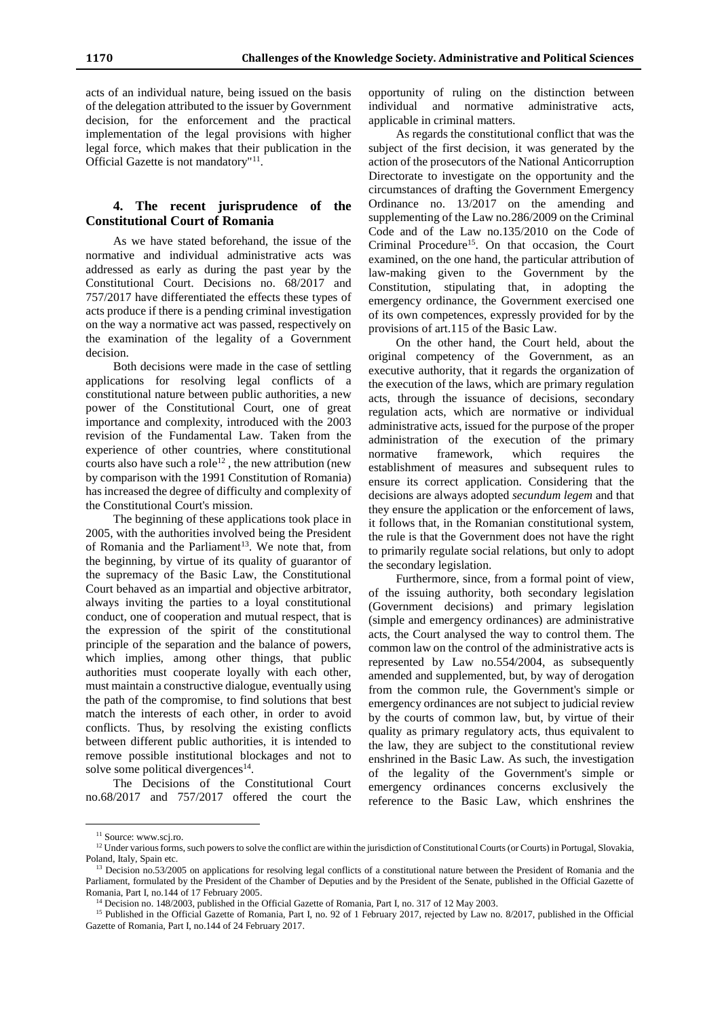acts of an individual nature, being issued on the basis of the delegation attributed to the issuer by Government decision, for the enforcement and the practical implementation of the legal provisions with higher legal force, which makes that their publication in the Official Gazette is not mandatory"<sup>11</sup>.

### **4. The recent jurisprudence of the Constitutional Court of Romania**

As we have stated beforehand, the issue of the normative and individual administrative acts was addressed as early as during the past year by the Constitutional Court. Decisions no. 68/2017 and 757/2017 have differentiated the effects these types of acts produce if there is a pending criminal investigation on the way a normative act was passed, respectively on the examination of the legality of a Government decision.

Both decisions were made in the case of settling applications for resolving legal conflicts of a constitutional nature between public authorities, a new power of the Constitutional Court, one of great importance and complexity, introduced with the 2003 revision of the Fundamental Law. Taken from the experience of other countries, where constitutional courts also have such a role<sup>12</sup>, the new attribution (new by comparison with the 1991 Constitution of Romania) has increased the degree of difficulty and complexity of the Constitutional Court's mission.

The beginning of these applications took place in 2005, with the authorities involved being the President of Romania and the Parliament<sup>13</sup>. We note that, from the beginning, by virtue of its quality of guarantor of the supremacy of the Basic Law, the Constitutional Court behaved as an impartial and objective arbitrator, always inviting the parties to a loyal constitutional conduct, one of cooperation and mutual respect, that is the expression of the spirit of the constitutional principle of the separation and the balance of powers, which implies, among other things, that public authorities must cooperate loyally with each other, must maintain a constructive dialogue, eventually using the path of the compromise, to find solutions that best match the interests of each other, in order to avoid conflicts. Thus, by resolving the existing conflicts between different public authorities, it is intended to remove possible institutional blockages and not to solve some political divergences $14$ .

The Decisions of the Constitutional Court no.68/2017 and 757/2017 offered the court the

opportunity of ruling on the distinction between individual and normative administrative acts, applicable in criminal matters.

As regards the constitutional conflict that was the subject of the first decision, it was generated by the action of the prosecutors of the National Anticorruption Directorate to investigate on the opportunity and the circumstances of drafting the Government Emergency Ordinance no. 13/2017 on the amending and supplementing of the Law no.286/2009 on the Criminal Code and of the Law no.135/2010 on the Code of Criminal Procedure<sup>15</sup>. On that occasion, the Court examined, on the one hand, the particular attribution of law-making given to the Government by the Constitution, stipulating that, in adopting the emergency ordinance, the Government exercised one of its own competences, expressly provided for by the provisions of art.115 of the Basic Law.

On the other hand, the Court held, about the original competency of the Government, as an executive authority, that it regards the organization of the execution of the laws, which are primary regulation acts, through the issuance of decisions, secondary regulation acts, which are normative or individual administrative acts, issued for the purpose of the proper administration of the execution of the primary normative framework, which requires the establishment of measures and subsequent rules to ensure its correct application. Considering that the decisions are always adopted *secundum legem* and that they ensure the application or the enforcement of laws, it follows that, in the Romanian constitutional system, the rule is that the Government does not have the right to primarily regulate social relations, but only to adopt the secondary legislation.

Furthermore, since, from a formal point of view, of the issuing authority, both secondary legislation (Government decisions) and primary legislation (simple and emergency ordinances) are administrative acts, the Court analysed the way to control them. The common law on the control of the administrative acts is represented by Law no.554/2004, as subsequently amended and supplemented, but, by way of derogation from the common rule, the Government's simple or emergency ordinances are not subject to judicial review by the courts of common law, but, by virtue of their quality as primary regulatory acts, thus equivalent to the law, they are subject to the constitutional review enshrined in the Basic Law. As such, the investigation of the legality of the Government's simple or emergency ordinances concerns exclusively the reference to the Basic Law, which enshrines the

 $\overline{a}$ 

<sup>&</sup>lt;sup>11</sup> Source: www.scj.ro.

 $12$  Under various forms, such powers to solve the conflict are within the jurisdiction of Constitutional Courts (or Courts) in Portugal, Slovakia, Poland, Italy, Spain etc.

<sup>&</sup>lt;sup>13</sup> Decision no.53/2005 on applications for resolving legal conflicts of a constitutional nature between the President of Romania and the Parliament, formulated by the President of the Chamber of Deputies and by the President of the Senate, published in the Official Gazette of Romania, Part I, no.144 of 17 February 2005.

<sup>&</sup>lt;sup>14</sup> Decision no. 148/2003, published in the Official Gazette of Romania, Part I, no. 317 of 12 May 2003.

<sup>&</sup>lt;sup>15</sup> Published in the Official Gazette of Romania, Part I, no. 92 of 1 February 2017, rejected by Law no. 8/2017, published in the Official Gazette of Romania, Part I, no.144 of 24 February 2017.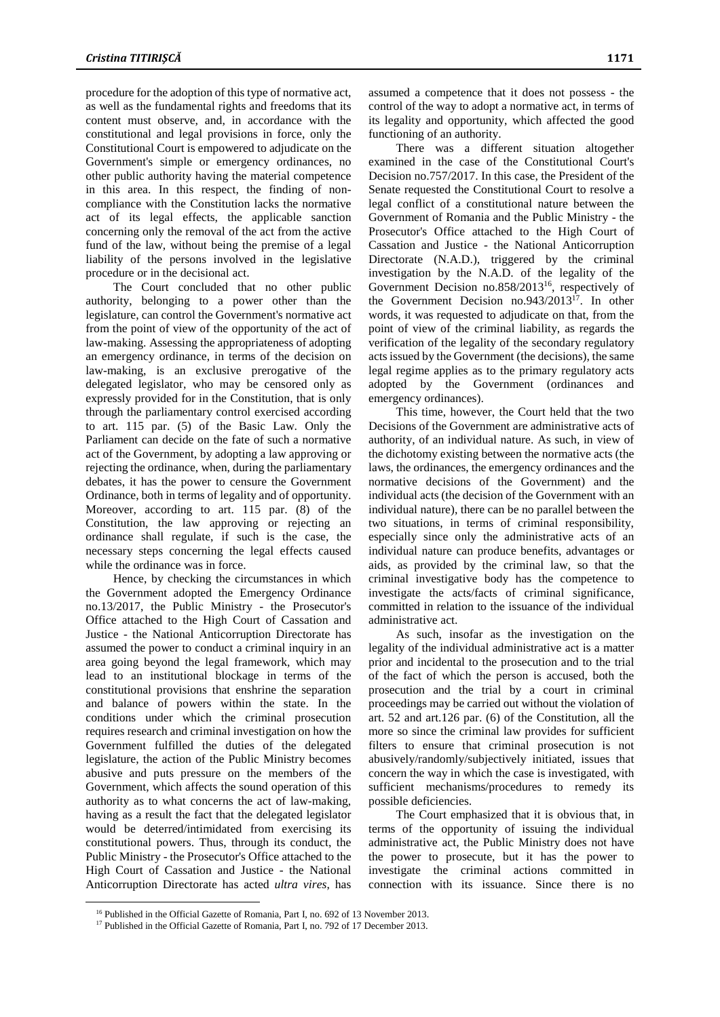procedure for the adoption of this type of normative act, as well as the fundamental rights and freedoms that its content must observe, and, in accordance with the constitutional and legal provisions in force, only the Constitutional Court is empowered to adjudicate on the Government's simple or emergency ordinances, no other public authority having the material competence in this area. In this respect, the finding of noncompliance with the Constitution lacks the normative act of its legal effects, the applicable sanction concerning only the removal of the act from the active fund of the law, without being the premise of a legal liability of the persons involved in the legislative procedure or in the decisional act.

The Court concluded that no other public authority, belonging to a power other than the legislature, can control the Government's normative act from the point of view of the opportunity of the act of law-making. Assessing the appropriateness of adopting an emergency ordinance, in terms of the decision on law-making, is an exclusive prerogative of the delegated legislator, who may be censored only as expressly provided for in the Constitution, that is only through the parliamentary control exercised according to art. 115 par. (5) of the Basic Law. Only the Parliament can decide on the fate of such a normative act of the Government, by adopting a law approving or rejecting the ordinance, when, during the parliamentary debates, it has the power to censure the Government Ordinance, both in terms of legality and of opportunity. Moreover, according to art. 115 par. (8) of the Constitution, the law approving or rejecting an ordinance shall regulate, if such is the case, the necessary steps concerning the legal effects caused while the ordinance was in force.

Hence, by checking the circumstances in which the Government adopted the Emergency Ordinance no.13/2017, the Public Ministry - the Prosecutor's Office attached to the High Court of Cassation and Justice - the National Anticorruption Directorate has assumed the power to conduct a criminal inquiry in an area going beyond the legal framework, which may lead to an institutional blockage in terms of the constitutional provisions that enshrine the separation and balance of powers within the state. In the conditions under which the criminal prosecution requires research and criminal investigation on how the Government fulfilled the duties of the delegated legislature, the action of the Public Ministry becomes abusive and puts pressure on the members of the Government, which affects the sound operation of this authority as to what concerns the act of law-making, having as a result the fact that the delegated legislator would be deterred/intimidated from exercising its constitutional powers. Thus, through its conduct, the Public Ministry - the Prosecutor's Office attached to the High Court of Cassation and Justice - the National Anticorruption Directorate has acted *ultra vires*, has

 $\overline{a}$ 

assumed a competence that it does not possess - the control of the way to adopt a normative act, in terms of its legality and opportunity, which affected the good functioning of an authority.

There was a different situation altogether examined in the case of the Constitutional Court's Decision no.757/2017. In this case, the President of the Senate requested the Constitutional Court to resolve a legal conflict of a constitutional nature between the Government of Romania and the Public Ministry - the Prosecutor's Office attached to the High Court of Cassation and Justice - the National Anticorruption Directorate (N.A.D.), triggered by the criminal investigation by the N.A.D. of the legality of the Government Decision no.858/2013<sup>16</sup>, respectively of the Government Decision no.943/2013<sup>17</sup> . In other words, it was requested to adjudicate on that, from the point of view of the criminal liability, as regards the verification of the legality of the secondary regulatory acts issued by the Government (the decisions), the same legal regime applies as to the primary regulatory acts adopted by the Government (ordinances and emergency ordinances).

This time, however, the Court held that the two Decisions of the Government are administrative acts of authority, of an individual nature. As such, in view of the dichotomy existing between the normative acts (the laws, the ordinances, the emergency ordinances and the normative decisions of the Government) and the individual acts (the decision of the Government with an individual nature), there can be no parallel between the two situations, in terms of criminal responsibility, especially since only the administrative acts of an individual nature can produce benefits, advantages or aids, as provided by the criminal law, so that the criminal investigative body has the competence to investigate the acts/facts of criminal significance, committed in relation to the issuance of the individual administrative act.

As such, insofar as the investigation on the legality of the individual administrative act is a matter prior and incidental to the prosecution and to the trial of the fact of which the person is accused, both the prosecution and the trial by a court in criminal proceedings may be carried out without the violation of art. 52 and art.126 par. (6) of the Constitution, all the more so since the criminal law provides for sufficient filters to ensure that criminal prosecution is not abusively/randomly/subjectively initiated, issues that concern the way in which the case is investigated, with sufficient mechanisms/procedures to remedy its possible deficiencies.

The Court emphasized that it is obvious that, in terms of the opportunity of issuing the individual administrative act, the Public Ministry does not have the power to prosecute, but it has the power to investigate the criminal actions committed in connection with its issuance. Since there is no

<sup>&</sup>lt;sup>16</sup> Published in the Official Gazette of Romania, Part I, no. 692 of 13 November 2013.

<sup>&</sup>lt;sup>17</sup> Published in the Official Gazette of Romania, Part I, no. 792 of 17 December 2013.